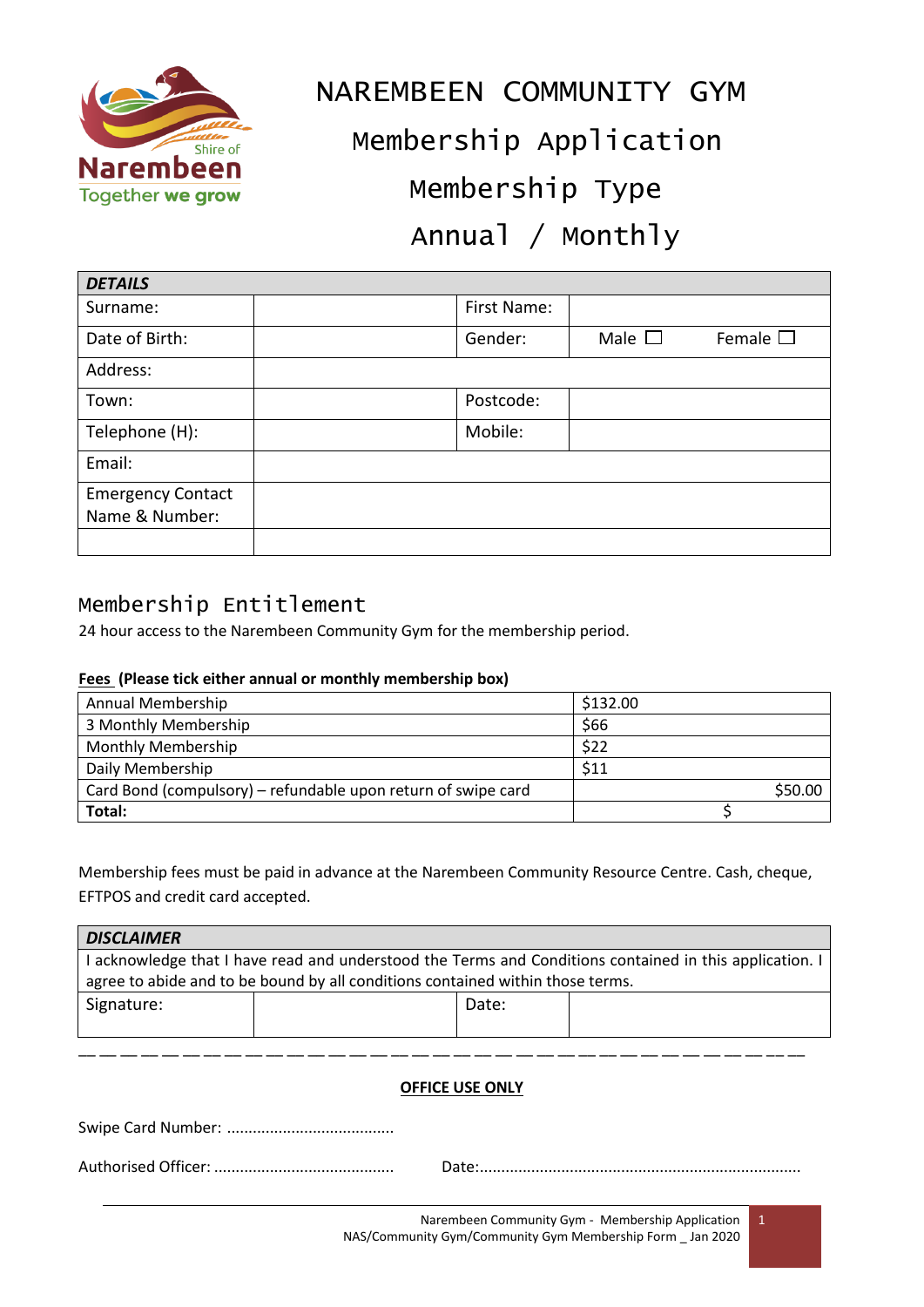

# NAREMBEEN COMMUNITY GYM Membership Application Membership Type Annual / Monthly

| <b>DETAILS</b>           |             |                |                  |
|--------------------------|-------------|----------------|------------------|
| Surname:                 | First Name: |                |                  |
| Date of Birth:           | Gender:     | Male $\square$ | Female $\square$ |
| Address:                 |             |                |                  |
| Town:                    | Postcode:   |                |                  |
| Telephone (H):           | Mobile:     |                |                  |
| Email:                   |             |                |                  |
| <b>Emergency Contact</b> |             |                |                  |
| Name & Number:           |             |                |                  |
|                          |             |                |                  |

### Membership Entitlement

24 hour access to the Narembeen Community Gym for the membership period.

### **Fees (Please tick either annual or monthly membership box)**

| Annual Membership                                             | \$132.00 |
|---------------------------------------------------------------|----------|
| 3 Monthly Membership                                          | \$66     |
| <b>Monthly Membership</b>                                     | \$22     |
| Daily Membership                                              | \$11     |
| Card Bond (compulsory) – refundable upon return of swipe card | \$50.00  |
| Total:                                                        |          |

Membership fees must be paid in advance at the Narembeen Community Resource Centre. Cash, cheque, EFTPOS and credit card accepted.

| <b>DISCLAIMER</b>                                                                                       |  |       |  |  |  |  |  |
|---------------------------------------------------------------------------------------------------------|--|-------|--|--|--|--|--|
| I acknowledge that I have read and understood the Terms and Conditions contained in this application. I |  |       |  |  |  |  |  |
| agree to abide and to be bound by all conditions contained within those terms.                          |  |       |  |  |  |  |  |
| Signature:                                                                                              |  | Date: |  |  |  |  |  |
|                                                                                                         |  |       |  |  |  |  |  |
|                                                                                                         |  |       |  |  |  |  |  |
|                                                                                                         |  |       |  |  |  |  |  |
| <b>OFFICE USE ONLY</b>                                                                                  |  |       |  |  |  |  |  |
| Swine Card Number                                                                                       |  |       |  |  |  |  |  |

ipe Card Numbe

Authorised Officer: .......................................... Date:...........................................................................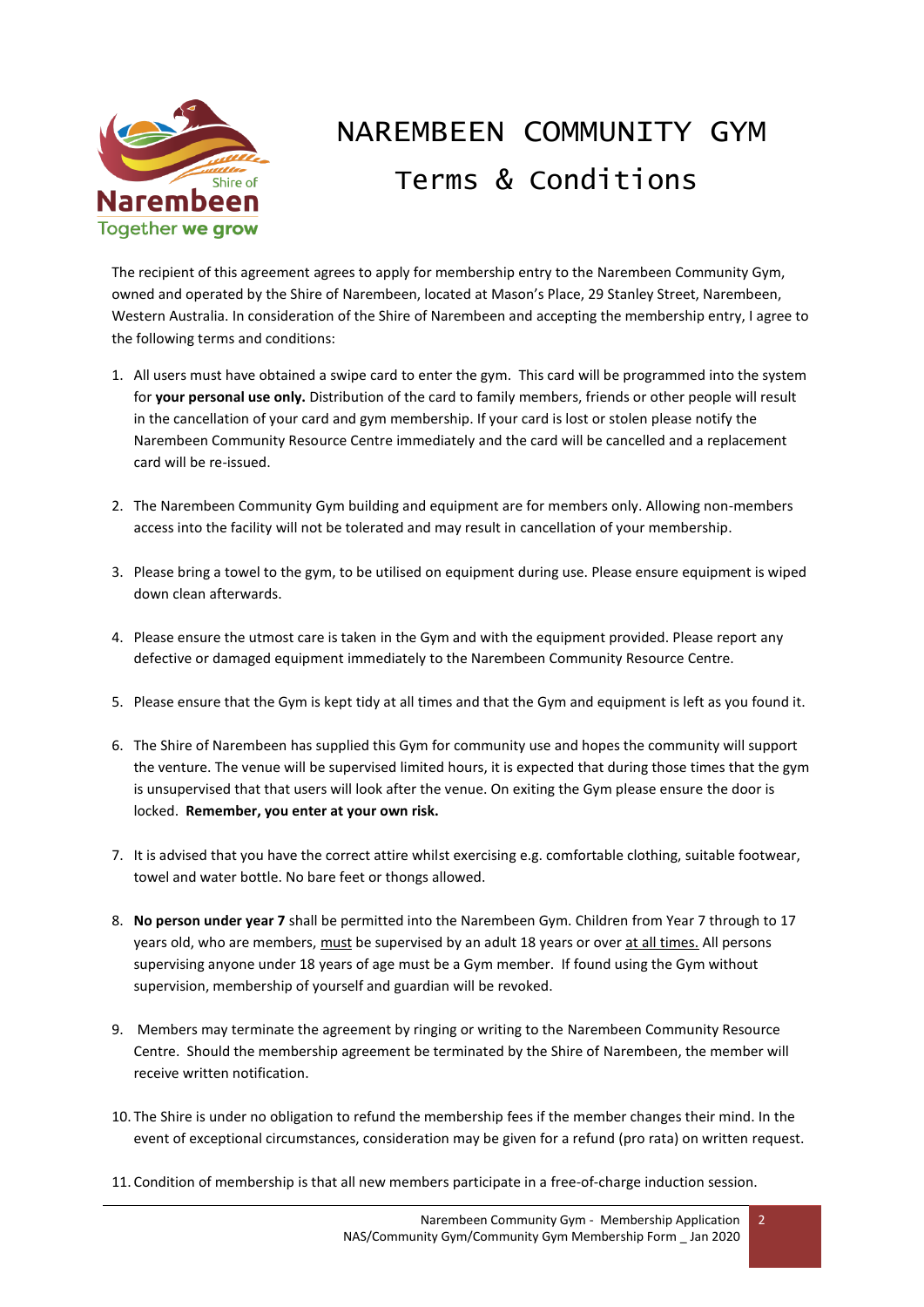

## NAREMBEEN COMMUNITY GYM Terms & Conditions

The recipient of this agreement agrees to apply for membership entry to the Narembeen Community Gym, owned and operated by the Shire of Narembeen, located at Mason's Place, 29 Stanley Street, Narembeen, Western Australia. In consideration of the Shire of Narembeen and accepting the membership entry, I agree to the following terms and conditions:

- 1. All users must have obtained a swipe card to enter the gym. This card will be programmed into the system for **your personal use only.** Distribution of the card to family members, friends or other people will result in the cancellation of your card and gym membership. If your card is lost or stolen please notify the Narembeen Community Resource Centre immediately and the card will be cancelled and a replacement card will be re-issued.
- 2. The Narembeen Community Gym building and equipment are for members only. Allowing non-members access into the facility will not be tolerated and may result in cancellation of your membership.
- 3. Please bring a towel to the gym, to be utilised on equipment during use. Please ensure equipment is wiped down clean afterwards.
- 4. Please ensure the utmost care is taken in the Gym and with the equipment provided. Please report any defective or damaged equipment immediately to the Narembeen Community Resource Centre.
- 5. Please ensure that the Gym is kept tidy at all times and that the Gym and equipment is left as you found it.
- 6. The Shire of Narembeen has supplied this Gym for community use and hopes the community will support the venture. The venue will be supervised limited hours, it is expected that during those times that the gym is unsupervised that that users will look after the venue. On exiting the Gym please ensure the door is locked. **Remember, you enter at your own risk.**
- 7. It is advised that you have the correct attire whilst exercising e.g. comfortable clothing, suitable footwear, towel and water bottle. No bare feet or thongs allowed.
- 8. **No person under year 7** shall be permitted into the Narembeen Gym. Children from Year 7 through to 17 years old, who are members, must be supervised by an adult 18 years or over at all times. All persons supervising anyone under 18 years of age must be a Gym member. If found using the Gym without supervision, membership of yourself and guardian will be revoked.
- 9. Members may terminate the agreement by ringing or writing to the Narembeen Community Resource Centre. Should the membership agreement be terminated by the Shire of Narembeen, the member will receive written notification.
- 10. The Shire is under no obligation to refund the membership fees if the member changes their mind. In the event of exceptional circumstances, consideration may be given for a refund (pro rata) on written request.
- 11. Condition of membership is that all new members participate in a free-of-charge induction session.